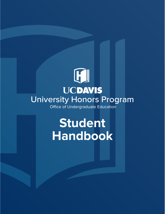### $\mathbb{F}$ **UCDAVIS** University Honors Program Office of Undergraduate Education

## **Student Handbook**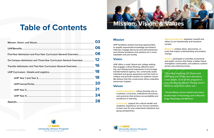## **Table of Contents**

|                                                                   | 03 |
|-------------------------------------------------------------------|----|
|                                                                   |    |
|                                                                   |    |
| On-Campus Admission and Three-Year Curriculum General Overview 12 |    |
|                                                                   |    |
|                                                                   |    |
|                                                                   |    |
|                                                                   | 20 |
|                                                                   |    |
|                                                                   |    |
|                                                                   | 28 |
|                                                                   |    |



### **Mission**

sterighter communities,<br>porary and enduring issues<br>if the the choosing U<br>I ever made. A lot of the<br>very community-base<br>afraid to help each of<br>-Vincent Basas, honors<br>double major in Psycholo<br>ology, Physiology and Be *"I feel like choosing UC Davis and UHP was one of the best decisions I ever made. A lot of the program is very community-based. People aren't afraid to help each other out."*

UHP facilitates student learning opportunities to amplify experiential knowledge and distinct histories; engage discourse and self-awareness; and reframe problems and solutions for a more equitable and just society.

#### **Vision**

UHP offers a small, liberal arts college setting that engages critical thinking, affective learning, and interpersonal expression to encourage transformational agency. Our community seeks individual and group awareness and the tools to critique and provide solutions to systemic issues. We believe that this constructive ethos embodies tomorrow's leaders.

#### **Values**

- **• Inclusive Excellence:** infuse diversity into recruitment, curriculum, institutional structures, and practices that achieve accountability and excellence in learning.
- **• Community:** support the cultural wealth and academic experience of our honors members to best care for and understand individual and group perspectives.
- **• Agency/Leadership:** empower oneself and others to act intentionally and transform society.
- **• Research:** employ ideas, discoveries, or tools that inspire understanding and positive change.
	- **• Service:** participate in activities of personal and public concern that foster a better future, strengthen communities, and address contemporary and enduring issues.



**- Vincent Basas, honors student pursuing a double major in Psychology and in Neurobiology, Physiology and Behavior**

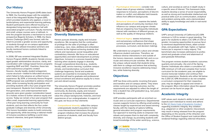### **Our History**

The University Honors Program (UHP) dates back to 1969. Our founding began with the establishment of the Integrated Studies Program (ISP), which provided students who applied, a novel interdisciplinary and experiential learning pathway. Student participants were offered housing in a designated living-learning residence hall with associated program curriculum. Faculty mentoring and small, unique courses were a hallmark. In time the program became a mechanism to recruit prospective Regents Scholars. In 1996, the Davis Honors Challenge (DHC) was formed, with the intent to provide a greater access and opportunity to students through an on-campus application process. DHC utilized innovative seminars and faculty mentored honors contracts linked to existing courses.

In 2006, ISP was renamed Integrated Studies Honors Program (ISHP). Academic Senate encouraged greater administrative structure, clarity, and coordination with College based honors programs regarding ISHP and DHC. Overtime, these two semi-autonomous programs created fissures—faculty loyalty, student antagonism, course structure—related to bifurcated structure, which failed to fully advance an unified honors experience. By 2014, a University Honors Program (UHP) proposal was submitted to address inherent flaws, while increasing faculty participation and providing students with a four-year program that was transparent. Students from limited-income, first-generation, and underrepresented backgrounds were given greater consideration based on a holistic review to further advance equity and access. Today we remain a four-year program that offers small, experiential learning opportunities, a first-year living learning community for frosh students, and one that reflects the four undergraduate Colleges and diversity of the University. This honors foundation seeks to build community and opportunity, while becoming a national model of inclusive excellence befitting a world class, research intensive, land grant institution.



#### **Diversity Statement**

Honors pursues diversity, equity and inclusive excellence. We recognize that the continuation of privilege for the sake of privilege is often coded (e.g., race, class, abilities) and embedded in honors as the highest-achieving students that reflects and reproduces social inequalities and contradictory interests. We focus on educational opportunities and talent development as primary objectives. Inclusion is a process towards better learning when students engage in diversity through compositional diversity (e.g., students, faculty, staff), service learning, a positive campus climate, and transformative curriculum that challenge hegemony. Social and academic systems are essential to increasing the talent pools that will lead to graduate and professional school enrollment and advance equity for a more just and vibrant society.

The University Honors Program promotes positive attitudes, perceptions and behaviors within our community. As diversity, equity, and inclusion serve as keystones to student development we value the unique backgrounds, histories, and lived experiences of our undergraduates. In support of this goal, we focus on four elements:

**• Compositional diversity:** reflect the campus undergraduate student population to foster cross-intersectional interactions through program initiatives that increase the physical presence of students, staff, and faculty from distinct groups.



- **• Psychological dimensions:** consider individual views of group relations, institutional responses to inclusion, perceptions of discrimination or conflict, and attitudes held towards others from different backgrounds.
- **• Behavioral dimensions:** examine the beliefs and perceptions of community members that influence our campus and program climate that are shaped by how frequently individuals interact with members of different groups, as well as the quality of intergroup relations.
- **• Historical legacy:** assess inclusionary and exclusionary confluences that shape current program and campus dynamics (e.g., processes, curriculum, and decision making).

We understand our program's culture and climate influences student outcomes. Therefore, we embrace diverse interactions in and outside of the honors classroom, residential hall, and co-curricular and extracurricular activities. We value the unique cultural assets that students bring with them to college and believe that achieving inclusive excellence requires addressing inequities, while fostering diversity.

#### **Objectives**

UHP has three entry points: incoming first-years and transfers and on-campus admits. They share similar curriculum learning outcomes, but the requirements are adjusted to reflect the length of time a student has until graduation (e.g., two-years for transfers).

culture, and society) as well as in-depth study in a specific area of interest. This framework helps students develop a sense of social responsibility, as well as strong and transferable intellectual and practical skills such as communication, analytical and problem-solving skills, and a demonstrated ability to apply knowledge and skills in real-world settings.

#### **GPA Expectations**

UHP's annual University of California (UC) GPA minimum is 3.25 to remain in good standing. The goal is for students to attain a UC GPA of 3.50 or greater; increasing opportunities to pursue faculty-mentored departmental thesis, attain scholarships, and graduate with high, higher, or highest honors (as is required in many majors). This benchmark also increases admissions to professional and graduate school and attainment of post-graduate fellowships.

UHP provides participants with an enriched curricular and co-curricular experience. Departmental courses supports honors by offering small existing classes taught by experienced and award winning faculty, with the majority of options fulfilling general education and program requirements. Our approach to learning seeks to empower individuals and prepare them to deal with complexity, diversity, and change, by providing students with broad knowledge of the wider world (e.g., science, UHP values each student's ability to learn and expects each individual to review and adhere to the [UC Davis Code of Academic Conduct](https://ossja.ucdavis.edu/code-academic-conduct)  regarding academic integrity. Any violation (e.g., plagiarism or other academic misconduct) may result in being released from the program depending on the severity of the infraction and the Office of Student Support and Judicial Affairs rendered findings regarding referred infractions.

The program reviews student academic outcomes quarterly and annually—the end of the Spring Quarter. Individuals who obtain a cumulative UC GPA minimum of 3.25 and complete their honors curriculum for the academic year, are eligible to receive transcript notation and continue their honors experience. Students who either fall below the 3.250 UC GPA threshold or do not complete a curriculum component for their respective year, may be eligible to appeal and remain in the program. More information about the appeal process can be found on page 28.

### **Academic Integrity**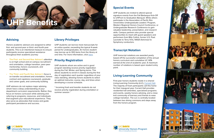#### **Special Events**

UHP students are invited to attend special signature events from the Fall Barbeque Kick-Off to UHProm to Graduation Banquet. While others participate in the Association of Pacific Rim Universities Undergraduate Leaders' Program, Western Regional Honors Council Conference, or Undergraduate Research Conference to gain valuable leadership, presentation, and research skills. Campus partners also provide special opportunities to meet with guest speakers and performers from Billy Collins, former U.S. Poet Laureate to Terry Virts, NASA Astronaut to Symphony conductors.

#### **Transcript Notation**



UHP transcript notations are awarded yearly based off the successful completion of the annual honors curriculum and cumulative UC GPA earned at the end of academic year. A maximum number of notations is based upon student entry point.

#### **Living-Learning Community**

First-year honors students reside in a shared Living-Learning Community (LLC), [Currant Hall](https://housing.ucdavis.edu/residence-halls/currant-hall/). The majority of frosh participants call this home for their inaugural year. Currant Hall provides residential hall amenities, specialized programs and events, weekly honors advising, and a close knit community of learners and friends to ease college transition. The LLC is centrally located between two dining commons and steps away from the honors program.

### **Advising**

Honors academic advisors are assigned to either first- and second-year or third- and fourth-year students. This is an intentional measure to ensure participants receive specialized assistance throughout their academic journey:

- **• The First- and Second-Year Advisor's** attention is on high school and on-campus recruitment and orientation, college transition, peer-peer mentorship, honors coursework, and community building.
- **• The Third- and Fourth-Year Advisor's** focus is on transfer recruitment and orientation, honors contract and capstone coursework, graduate and career goals, and community building.

UHP advisors do not replace major advising whom have a deep understanding of your department curriculum requirements. Rather, they focus on honors curriculum while advising and referring to programs, resources, and individuals that augment your educational experience. They also serve as advocates that review and guide participant persistence and success.

### **Library Privileges**

UHP students can borrow most manuscripts for an entire quarter, exceeding the typical 4-week period for undergraduates. An honors student may borrow up to 300 items from the library at one time. For more information, [click here](https://www.library.ucdavis.edu/wp-content/uploads/2017/07/Access-Privileges-Summary-by-User-Group-Policies.pdf).

#### **Priority Registration**

UHP students whom are active and in good program standing receive priority registration during the Fall, Winter, and Spring terms. This allows students to enroll in classes during the first day of registration each quarter regardless of your class standing, allowing honors students to select an optimal instructor, course, day, and times when developing a course schedule.

\* Incoming frosh and transfer students do not receive priority registration during orientation or summer session \*

## <span id="page-3-0"></span>**UHP Benefits**



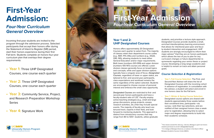## <span id="page-4-0"></span>**First-Year Admission:**

### *Four-Year Curriculum General Overview*

Incoming first-year students are invited to the program through the admission process. Selected participants that accept their honors offer during the Statement of Intent to Register (SIR) period, start their honors experience during their first Fall term. Students complete an honors four-year curriculum plan that overlays their degree requirements:





- **• Year 1:** Three UHP Designated Courses, one course each quarter
- **• Year 2:** Three UHP Designated Courses, one course each quarter
- **• Year 3:** Community Service, Project, and Research Preparation Workshop **Series**
- **• Year 4:** Signature Work

### **Year 1 and 2: UHP Designated Courses**

Honors offers approximately 20 Designated Courses each quarter to select from. The majority of classes retain their department course codes (e.g., MAT, PHI, ENL) and numbers (e.g., 002A, 090, 165), allowing students to meet either General Education and/or major requirements. Both lower (numbers 001-099) and upper division (numbers 100-197) courses are offered. Lower division classes generally focus on broad topics and concepts, while and upper division options typically have a singular area of focus. *Designated Courses*, regardless of lower or upper status, are tailored to first- and second-year participants, class expectations and workload remains the same regardless of the option selected. Students are encouraged to choose courses of personal interest and embrace the small class opportunity.

*Designated Courses* are restricted to first- and second-year honors participants and have a faculty-student ratio of 1:25<sup>1</sup>. Faculty employ active-teaching strategies (e.g., small and large group discussions, group projects, essays, research activities, etc.) that may include special events. The majority of faculty who teach are tenured track, experts in their field, and look forward to mentoring students. This approach is distinct from introductory courses that may range from 80 to 500+ students, utilize graduate students, and prioritize a lecture style approach. Designated Courses provide students a small, enriched interdisciplinary learning environment that allows for intentional peer-peer and facul ty-student interaction and engagement. UHP students are strongly encouraged to inform their major advisor ² that they are an honors participant, which allows the two of you to plan for any curriculum changes or future departmental re quirements regarding your senior thesis or project course. Developing a long-range academic plan is helpful to remain on track and attain personal goals.

#### *Course Selection & Registration*

- 
- 
- 
- 

**• Year 1, Fall Course Selection:** The First- and Second-Year Advisor will share the list of Designated Courses with the incoming cohort in advance of registration. In consultation with the advisor, a student will select and enroll in one honors class for the Fall term.

**• Year 1, Winter & Spring Course Selection:** 

Designated course options are shared with students approximately three weeks before their enrollment time, participants—via survey—rank their top selections, and are notified of their assigned honors class a week prior to registration, allowing time to select major and degree requirements to build into their academic schedule.

# **First-Year Admission** *Four-Year Curriculum General Overview*



University Honors Program<br>
Office of Undergraduate Education **Biological Academic Success Center (BASC)** Biological Academic Success Center (BASC)  $1$  Few classes exceed this ratio (e.g., Calculus, Biology) or grant non-honors students permission to enroll in *Designated Courses* Biological Academic Success Center (BASC).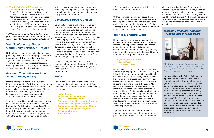**• Year 2, Fall, Winter, & Spring Course Selection:** See Year 1, Winter & Spring Course Selection above as a similar pattern is followed. Students may substitute a Designated Course for an Honors Contract, which develops a faculty mentored class linked to a previously completed honors class. Speak with the UHP First- and Second-Year Advisor a quarter in advance and visit the [Honors Contract website](https://honors.ucdavis.edu/honors-contract) for more details.

*\* UHP students who plan to graduate in three years, must meet with the First- and Second-Year Advisor early to discuss curriculum adjustments \**

#### **Year 3: Workshop Series, Community Service, & Project**

UHP enhances student educational experience by providing flexible activities and projects centered on engagement. The curriculum includes: Signature Work preparation workshop series, community service, and a project that assists honors participants as they progress toward their culminating senior thesis or project.

#### *Research Preparation Workshop Series (formerly IST 94)*

Honors participants complete a 1-quarter Research Preparation Workshop Series by the end of their third-year. This series allows students an opportunity to explore research topics of interest to them, learn how to navigate the research landscape, and catalyze their culminating Signature Work—senior thesis or project.

Students involved in research prior to their junior year are encouraged to enroll in the Research Preparation Workshop Series regardless. Unlike laboratory experience that may allow students to apply theory and practice or theory and methods, this course prepares undergraduates within the confines of the honors community,

while discussing interdisciplinary approaches, examining inquiry pathways, crafting individual research question, and communicating results (e.g., presentation, written).

#### *Community Service (20 Hours)*

Community service is an honors core value; it allows an individual to give back to society in meaningful ways. Volunteerism can be done in your hometown, on-campus, or internationally with a community agency, non-profit, student organization, etcetera. Ideally, students participate in a single project to best understand the social context and systemic barriers related to those served. We encourage students to strive for 20-hours per year to be an engaged global citizen. Our minimum requirement is 20-hours of service to be completed between the first day on campus and end of one's junior year to fulfil an honors third-year requirement.

\* Project Management Course, Diversity Leadership Development Program (DLDP), and Student Leadership Development Program (SLDP) satisfy the Project and Community Service requirements\*

#### *Project*

Honors provides 7 project options to select from that assist students to explore their future academic and professional careers, while building transferable skills:

- **• Honors Contract**
- **• Individually Designed Project**
- **• Project Management Course**
- **• Center for Leadership Learning Diversity Leadership Development Program**
- **• Center for Leadership Learning Student Leadership Development Program**
- **• Washington Program**
- **• Study Abroad**





\* Full Project detail options are available in the next section of the handbook \*

UHP encourages students to discuss these options and to develop an appropriate timeline for completion with their honors advisor. Some options may be completed earlier (e.g., Study Abroad), but will require a curriculum modification to meet participant educational needs.

### **Year 4: Signature Work**

Honors students are required to complete a culminating experience—thesis or project—that integrates and applies knowledge to address a question or problem that is important to society and the students; with faculty guidance, undergraduates produce insights gained from the experience. Participants have 3 options:

- **• Engineering Design Project**
- **• Thesis in Major**
- **• UHP Project/Thesis**

Honors students should reach out to their major advisor regarding options in their field of study as this will inform their future path forward. Not all disciplines offer a thesis or project opportunity, but knowing your choices helps to inform your conversations with an honors and major advisor (e.g., major or honors option). If Thesis in Major is available, this is the preferred selection for most students. Most engineering students are supported by the Engineering Design Project that meets the Signature Work requirement. Those whom do not have access to an Engineering Design Project or Thesis in Major or seek an interdisciplinary approach, should reach out to your honors advisor regarding UHP Project and Thesis opportunities.

Signature Work provides an opportunity to engage in purposeful and integrative learning practices. Some projects will be career related,

others will be related to significant societal challenges such as health disparities, educational opportunities, sustainability, or human dignity that allows students to connect learning with the world beyond. Signature Work typically consists of substantial writing, reflection on learning, visible results, and presentation of findings, even if preliminary.

#### *Igniting Community Activism Through Student Leadership*



The University Honors Program encourages students to engage in leadership to foster lifelong skills and make an impact in our UC Davis communities and beyond.

Vannalee Cayabyab, Political Science and Spanish double major '19, exemplified student leadership throughout her undergraduate career at UC Davis, tracing back to her first year. Vannalee made her mark through her leadership roles in women's political leadership organization IGNITE, BRIDGE: Pilipinx Outreach and Retention, and even co-founding Pilipinx in Business and Law (PIBL). By finding intersections between her identities as a woman, Filipina, and Political Science major, she founded and created the different spaces to foster these passions. Vannalee developed as a leader, scholar activist, mentor, and so much more.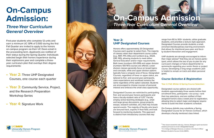## <span id="page-6-0"></span>**On-Campus Admission:**

### *Three-Year Curriculum General Overview*

First-year students who complete 12-units and earn a minimum UC GPA of 3.500 during the first Fall Quarter are invited to apply to the honors on-campus program via their UC Davis email in the proceeding term. Applicants are notified of their status during the Spring Quarter. Individuals selected begin their honors experience during their sophomore year and complete a threeyear curriculum plan that overlays their degree requirements:

- **• Year 2:** Three UHP Designated Courses, one course each quarter
- **• Year 3:** Community Service, Project, and the Research Preparation Workshop Series
- **• Year 4:** Signature Work





### **Year 2: UHP Designated Courses**

 $3$  Few classes exceed this ratio (e.g., Calculus, Biology) or grant non-honors students permission to enroll in *Designated Courses*

12 13 Biological Academic Success Center (BASC). <sup>4</sup> If in College of Biological Sciences, an advisor in the Dean's Office/

Honors offers approximately 20 Designated Courses each quarter to select from. The majority of classes retain their department course codes (e.g., MAT, PHI, ENL) and numbers (e.g., 002A, 090, 165), allowing students to meet either General Education and/or major requirements. Both lower (numbers 001-099) and upper division (numbers 100-197) courses are offered. Lower division classes generally focus on broad topics and concepts, while and upper division options typically have a singular area of focus. Designated Courses, regardless of lower or upper status, are tailored to first- and second-year participants, class expectations and workload remains the same regardless of the option selected. Students are encouraged to choose courses of personal interest and embrace the small class opportunity. that allows for intentional peer-peer and facul ty-student interaction and engagement. UHP students are strongly encouraged to inform their major advisor<sup>4</sup> that they are an honors participant, which allows the two of you to plan for any curriculum changes or future departmental re quirements regarding your senior thesis or project course. Developing a long-range academic plan is helpful to remain on track and attain personal goals. *Course Selection & Registration* **Year 2, Fall, Winter & Spring Course Selection:**

range from 80 to 500+ students, utilize graduate students, and prioritize a lecture style approach. Designated Courses provide students a small, enriched interdisciplinary learning environment

Designated Courses are restricted to participating first- and second-year honors participants and have a faculty-student ratio of  $1:25<sup>3</sup>$ . Faculty employ active-teaching strategies (e.g., small and large group discussions, group projects, essays, research activities, etc.) that may include special events. The majority of faculty who teach are tenured track, experts in their field, and look forward to mentoring students. This approach is distinct from introductory courses that may Designated course options are shared with students approximately three weeks before their enrollment time, participants—via survey—rank their top selections, and are notified of their assigned honors class a week prior to registration, allowing time to select major and degree require ments to build into their academic schedule. On-Campus Admits may substitute a Spring Designated Course for an Honors Contract, which develops a faculty mentored class linked

### **On-Campus Admission** *Three-Year Curriculum General Overview*



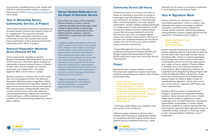to previously completed honors class. Speak with UHP First- and Second-Year Advisor a quarter in advance and visit the [Honors Contract website](https://honors.ucdavis.edu/honors-contract) for more details.

#### **Year 3: Workshop Series, Community Service, & Project**

UHP enhances student educational experience by providing flexible activities and projects centered on engagement. The curriculum includes: Signature Work preparation workshop series, community service, and a project that assists honors participants as they progress toward their culminating senior thesis or project.

#### *Research Preparation Workshop Series (formerly IST 94)*

Honors participants complete a 1-quarter Research Preparation Workshop Series by the end of their third-year. This series allows students an opportunity to explore research topics of interest to them, learn how to navigate the research landscape, and catalyze their culminating Signature Work—senior thesis or project.

Students involved in research prior to their junior year are encouraged to enroll in the Research Preparation Workshop Series regardless. Unlike laboratory experience that may allow students to apply theory and practice or theory and methods, this series prepares undergraduates within the confines of the honors community, while discussing interdisciplinary approaches, examining inquiry pathways, crafting individual research question, and communicating results (e.g., presentation, written).



#### *Honors Student Reflections on the Power of Volunteer Service*

One of the core values of the University Honors Program is service. Honors students exemplify service through a wide variety of opportunities; students give back through local community service, global projects, academic research, and service in conjunction with career exploration.

*"I helped refugees transition to their new home country. I took them to the grocery store, helped enroll children in the local school system, took them to and from appointments, built beds and tables in their apartments before their arrival, and acted as [a] translator for those who only spoke Spanish. This service has showed me how important it is to be an advocate, especially for organizations that are non-profit and rely heavily on the donations. Because of this experience, I am now considering going to the Peace Corps before law school."*

*- Gabriel Eskandari, reflecting on volunteering with the International Rescue Committee, a non-profit organization in Sacramento* 

#### *Community Service (20 Hours)*



Leadership Development Program (DLDP), and Student Leadership Development Program (SLDP) satisfy the Project and Community Service requirements\* *Project* Honors provides 7 project options to select from that assist students to explore their future academic and professional careers, while building transferable skills:

Community service is an honors core value; it allows an individual to give back to society in meaningful ways. Volunteerism can be done in your hometown, on-campus, or internationally with a community agency, non-profit, student organization, etcetera. Ideally, students participate in a single project to best understand the social context and systemic barriers related to those served. We encourage students to strive for 20-hours per year to be an engaged global citizen. Our minimum requirement is 20-hours of service to be completed between the first day on campus and end of one's junior year to fulfil an honors third-year requirement. **Year 4: Signature Work** Honors students are required to complete a culminating experience—thesis or project—that integrates and applies knowledge to address a question or problem that is important to society and the students; with faculty guidance, undergraduates produce insights gained from the experience. Participants have 3 options: **• Engineering Design Project • Thesis in Major**

- 
- 
- 
- **• Center for Leadership Learning Diversity Leadership Development Program**
- **• Center for Leadership Learning Student Leadership Development Program**
- **• Washington Program**
- **• Study Abroad**

\* Full Project detail options are available in the next section of the handbook \*

UHP encourages students to discuss these options and to develop an appropriate timeline for completion with their honors advisor. Some options may be completed earlier (e.g., Study

Abroad), but will require a curriculum modification to meet participant educational needs.

\* Project Management Course, Diversity **• Honors Contract • Individually Designed Project • Project Management Course** Honors students should reach out to their major advisor regarding options in their field of study as this will inform their future path forward. Not all disciplines offer a thesis or project opportunity, but knowing your choices helps to inform your conversations with an honors and major advisor (e.g., major or honors option). If Thesis in Major is available, this is the preferred selection for most students. Most engineering students are supported by the Engineering Design Project that meets the Signature Work requirement. Those whom do not have access to an Engineering Design Project or Thesis in Major or seek an interdisciplinary approach, should reach out to your honors advisor regarding UHP Project and Thesis opportunities.

- 
- 
- 
- **• UHP Project/Thesis**

Signature Work provides an opportunity to engage in purposeful and integrative learning practices. Some projects will be career related, others will be related to significant societal challenges such as health disparities, educational opportunities, sustainability, or human dignity that allows students to connect learning with the world beyond. Signature Work typically consists of substantial writing, reflection on learning, visible results, and presentation of findings, even if preliminary.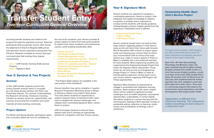#### **Year 4: Signature Work**

Honors students are required to complete a culminating experience—thesis or project—that integrates and applies knowledge to address a question or problem that is important to society and the students; with faculty guidance, undergraduates produce insights gained from the experience. Participants have 3 options:

- **• Engineering Design Project**
- **• Thesis in Major**
- **• UHP Project/Thesis**

Honors students should reach out early to their major advisor regarding options in their field of study as this will inform their future path forward. Not all disciplines offer a thesis or project opportunity, but knowing your choices helps to inform your conversations with an honors and major advisor (e.g., major or honors option). If Thesis in Major is available, this is the preferred selection for most students. Most engineering students are supported by the Engineering Design Project that meets the Signature Work requirement. Those whom do not have access to an Engineering Design Project or Thesis in Major or seek an interdisciplinary approach, should reach out to your honors advisor regarding UHP Project and Thesis opportunities.

Signature Work provides an opportunity to engage in purposeful and integrative learning practices. Some projects will be career related, others will be related to significant societal challenges such as health disparities, educational opportunities, sustainability, or human dignity that allows students to connect learning with the world beyond. Signature Work typically consists of substantial writing, reflection on learning, visible results, and presentation of findings, even if preliminary.

#### *Humanizing Health: Ryan Vinh's Service Project*





Through service projects, UHP students are able to add dimension to their UC Davis experience by applying classroom lessons to the larger community.

Ryan Vinh, 4th Year Neurobiology, Physiology and Behavior major, has been volunteering with Knights Landing (Knights Landing One Health Center is a clinic that serves Knights Landing, a small, rural town of less than 1000 people that is about 30 minutes north of Davis) since his 2nd year. Vinh explained that the holistic approach the clinic adopted is what sets them apart from other clinics. They work on community projects that relate to the environment, social interactions, and other demographics that impact public health.

*"Application is different from classroom learning. This experience makes everything we learn about in a classroom real."* 

Incoming transfer students are invited to the program through the admission process. Selected participants that accept their honors offer during the Statement of Intent to Register (SIR) period and start their honors experience during their first Fall term. Students complete an honors two-year curriculum plan that overlays their degree requirements:

- **• Year 3:** UHP Transfer Seminar (Fall) and two Projects
- **• Year 4:** Signature Work

#### **Year 3: Seminar & Two Projects**

#### *Seminar*

In Fall, UHP transfer students enroll in the honors transfer seminar which is co-taught by a UC Davis faculty member and Third- and Fourth-Year Advisor. The seminar: Understanding the Research University, introduces incoming transfers to campus resources, opportunities, and avenues of pursuing their academic and career

interests all while building community.

#### *Project Options*

For Winter and Spring Quarter, participants select one curriculum option per term to complete by

the end of the academic year. Honors provides 8 project options to select from that assist students to explore their future academic and professional careers, while building transferable skills:

- **• Honors Contract**
- **• Individually Designed Project**
- **• Project Management Course**
- **• Center for Leadership Learning Diversity Leadership Development Program**
- **• Center for Leadership Learning Student Leadership Development Program**
- **• Washington Program**
- **• Study Abroad**
- **• Research Preparation Workshop Series (formerly IST 94)**

\* Full Project detail options are available in the next section of the handbook \*

Honors transfers may opt to complete a 1-quarter Research Preparation Workshop Series in Winter or Spring to replace one project if they desire. This class allows students an opportunity to explore research topics of interest to them, learn how to navigate the research landscape, and catalyze their culminating Signature Work—senior thesis or project.

UHP encourages students to discuss these options early and to develop an appropriate timeline for completion with their honors advisor.

### <span id="page-8-0"></span>**Transfer Student Entry** *Two-Year Curriculum General Overview*

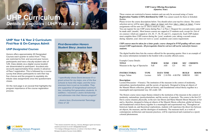### **UHP Year 1 & Year 2 Curriculum: First-Year & On-Campus Admit**

#### *UHP Designated Courses*

Honors offers approximately 20 Designated Courses each quarter to select from.<sup>5</sup> They are restricted to first- and second-year honors participants and have a faculty-student ratio of 1:25. Class details via a digital course booklet are disseminated to participant @ucdavis.edu accounts approximately three weeks in advance of Pass 1 registration. This is followed by a course survey that allows participants to rank their top five choices and the program to equitably distribute class assignments once the questionnaire closes.

> <sup>4</sup> If in College of Biological Sciences, an advisor in the Dean's Office/ Biological Academic Success Center (BASC).

On the next page is an excerpt that highlights the program importance of the course registration process.

### <span id="page-9-0"></span>**UHP Curriculum** *Details & Logistics | UHP Year 1 & 2*

students permission to enroll in *Designated Courses*

#### *First-Generation Honors Student Story: Jessica Ison*



"*I specifically chose Davis because it's a great school for my major, one of the few schools to have this major, and the inclusiveness here is just so incredible. They are supportive of marginalized communities, including first generation students. In addition, I received a Jastro Scholarship and admission into their Honors program"* Example Course Details: **TITLE TERM SUBJ CRSE SEC CREDITS** Museum in the Age of Spectacles Fall

| <b>INSTRUCTOR(S)</b> |  |
|----------------------|--|
| Grigor, Talinn       |  |

*- Jessica Ison, Environmental Toxicology Class of '22*



<sup>3</sup> Few classes exceed this ratio (e.g., Calculus, Biology) or grant non-honors

#### **UHP Course Offering Descriptions (Quarter, Year)**

| <b>SUBJ</b> | <b>CRSE</b> |         | <b>SEC CREDITS</b> |
|-------------|-------------|---------|--------------------|
| AHI         | 123         | $002 -$ | -4.0               |

These courses are restricted to honors students and can only be accessed using a Course **Registration Number (CRN) distributed by UHP.** You cannot search for them in Schedule Builder.



Please review the course descriptions below. You should select your top five classes. The course selection survey will be open {day}, {date} at {time} and close {day}, {date} at {time}. Course assignments will be sent via UC Davis email on {day}, {date}. You can register for one UHP course during Pass 1 or Pass 2. Request for a second course cannot be made until {month}. Most honors courses are capped at 25 students each, except for {list of six courses} which are capped at {24, 20, 17, 30, 30, and 21}, respectively. Each UHP student must complete three UHP courses during the {year} academic year; taking a second course during {Quarter, year} does not waive a {year} academic year course requirement.

#### *UHP courses must be taken for a letter grade; course changed to P/NP grading will not count toward UHP requirements. All prerequisites listed in red text will not be waived for honors students.*

The digital booklet then lists the courses offered for the upcoming quarter. Here is an example of the course information included in the booklet with a recently offered course.

| <b>INSTRUCTOR(S)</b> | TYPE    | <b>DAYS TIME</b>                      | <b>BUILD</b> | <b>ROOM</b> |
|----------------------|---------|---------------------------------------|--------------|-------------|
| Grigor, Talinn       | Lecture | $\text{MW}$ 2:10 PM $-$ 4:00 PM SHREM |              | 1001        |

#### **Description:**

Lecture/Discussion—4 hour(s). The institution of the museum in the context of modernity, nationalism, (post)colonialism, and the society of spectacle. Designed to bring art objects of the Manetti Shrem collection, global art history, and foundational critical theory together in a meaningful and experimental way. GE credit: AH.

The Honors course raises major themes related to the institution of the museum in the context of modernity, nationalism, (post)colonialism, and the society of spectacle. The course is the first UC Davis course situated, physically, in the new Jan Shrem and Maria Manetti Shrem Museum of Art and is, therefore, designed to bring art objects of the Manetti Shrem collection, global art history, and foundational critical theory together in a meaningful and experimental way. Throughout art historical, hands-on, and theoretical explorations, students will experience the direct ties between art objects, the museum, and the ideologies of modernity. The museum itself, as a work of contemporary architecture and museum practices, will be experienced and examined as a (post) colonial phenomenon.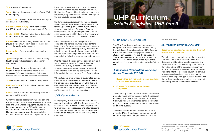<span id="page-10-0"></span>**Title** – Name of the course

**Term** – Quarter the course is being offered (Fall, Winter, Spring)

**Subject (Subj)** – Major department instructing the course; AHI – Art History

**Course Number (CRSE)** – Number between 001-199, for undergraduate courses at UC Davis

**Instructor(s)** – Faculty member teaching the course

**Section (SEC)** – Number indicating which section of the course is for UHP students

**Credits** – Number indicating the amount of time (hours) a student will be in class for the course, this is often referred to as units

**Type** – Designation of how the course is being taught, types include: lecture, lab, seminar, discussion

**Days** – Days of the week the course is being taught in which the students attend class (M=Monday, T=Tuesday, W=Wednesday, R=Thursday, F=Friday; UHP does not offer courses on the weekend)

**Time** – Time of day the course is being taught

**Building (Build)** – Building where the course is being taught

**Room** – Room number in the building where the course is being taught

Within the course description students can find the information on which General Education (GE) area and Core Literacies (CL) the course meets. For more information on GE and CL can be located on the General Education website. Honors courses may have the prerequisites modified (reduced) or waived, dependent upon

instructor consent; enforced prerequisites are noted in red in the course description booklet. Designated Course with relinquished course prerequisites, may still require students to complete the prerequisite petition online.

Students must participate in the honors course survey in order to receive a Designated Course for the upcoming quarter. In the questionnaire, students rank their top 5 choices. Once the survey closes the program equitably distribute class assignments within 3 days—the majority of students receive their first or second choice.

Participating first- and second-years must complete one honors course per quarter for a letter grade. Students may pursue two courses in one quarter after a makeup survey has been administered and dependent upon seats available, but this does not exempt a student from a future course in the following quarters or academic year.

Prior to Pass 2, the program will send all first- and second-year students a Course Adjustment Survey. This survey is optional and allows students to request a course swap or second course for the term. Survey participants will be informed of the result prior to Pass 2 registration.

When students are provided a Designated Course CRN, it may not be shared with another person. If a participant is provided a new CRN due to a course change, the student must drop the first course and not use the original CRN as a "back up" to ensure fair enrollment practices.

#### *UHP Canvas Portal*

During Spring Break, Year 2 curriculum participants will be added to UHP's Canvas portal. This is a website for UC Davis faculty and programs to organize course resources and allow students to submit their assignments. UHP students will have Canvas assignments for the Year 3 and 4 curriculum.



### **UHP Year 3 Curriculum**

The Year 3 curriculum includes three required components that are to be completed in full by the last day of Spring instruction. UHP's Canvas Portal contains an advising syllabi, which a student can access as frequently as needed. This resource contains important information in the 'Files' area of the portal. Once a project is completed, it is removed from the individual's task list.

#### *I. Research Preparation Workshop Series (formerly IST 94)*

- **• Required for first-year and on-campus admits as a third-year component**
- **• Optional for transfers as a third-year component**

The workshop series prepares students to explore potential research interests, navigate the research university, and build a solid foundation for senior Signature work. The workshop series is 1-quarter long and offered three times a year, in Fall, Winter, and Spring quarter.

The Research Preparation Workshop Series is a required Year 3 curriculum component for all students regardless of experience; optional for transfer students.

#### *Ia. Transfer Seminar, HNR 198*

**Required for transfer students during their first quarter at the university.**

The fall course is a requirement of new transfer students. This honors seminar—HNR 198—is designed to aid undergraduate academic and sociocultural success by offering some tools to thrive in and out of the classroom. A common book and/or reader is assigned to better understand the intent of a college education, campus resources and academic strategies, cultural wealth, while expanding your social network with the professor and guest speakers and developing your interpersonal communication skills.

20 21 Biological Academic Success Center (BASC).  $3$  Few classes exceed this ratio (e.g., Calculus, Biology) or grant non-honors students permission to enroll in *Designated Courses* <sup>4</sup> If in College of Biological Sciences, an advisor in the Dean's Office/

## **UHP Curriculum** *Details & Logistics | UHP Year 3*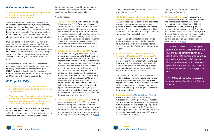#### *II. Community Service*

- **• Required for first-year and on-campus admits as a third-year component**
- **• Project option for transfers**

Service provides an opportunity to apply your knowledge, learn from others, develop empathy and compassion, and act as a global citizen. Service that combines those elements can also foster future career paths. The program desires that each student select a community of their choice to whom they wish to make a contribution.

Students complete a minimum of 20-hours of service to be completed between the first day on campus and end of one's junior year to fulfil an honors third-year requirement. Previous volunteer time will not count towards this total. We strongly suggest the time rendered be with one organization or project to gain increased breadth and depth.

\* For students in UHP's Project Management Course or the Center for Leadership Learning's Diversity Leadership Development Program (DLDP) or Student Leadership Development Program (SLDP), those options satisfy the Project and Community Service requirements\*

#### *III. Project Activity*

- **• First-year and on-campus admits select 1 project from the list below to be completed in the third-year**
- **• Transfers select 2 projects from the list below, which may include community service or Signature Work Preparation workshop series above to be completed in the third-year**

Projects allow participants to explore academic content and professional careers through self-selected course material, research, internship, leadership, and travel abroad. Select options

that benefit your current and future trajectory and discuss them with your honors advisor to maximize your learning opportunities.

Projects include:

- \* Study abroad experiences must be a minimum of four-weeks \*
- **7. Washington Program:** An opportunity to combine course work, exciting field research and unparalleled internship experience (e.g., NASA, National Institutes of Health, Smithsonian, Capitol) during a quarter's residence in our nation's capital. Students have the chance to test-drive a career, build their portfolio or resume, and make valuable industry contacts that can be essential to landing the ideal job upon graduation. For more details, click here. 7. Washington Program: An combine course work, ex and unparalleled internsh (e.g., NASA, National Instituted Smithsonian, Capitol) during the chance to test-d their portfolio or resume, industry contacts that can landing t

- **1. Honors Contract:** A 1-unit, letter-graded, upper division course (HNR 190X) that allows a student to create a custom honors course with a previous or current instructor of an upper division class that they were or are enrolled. This project course enriches and deepens the academic experience through one-on-one mentorship. The end product spans research projects to literature reviews to works of art. For additional details on an Honors Contract and to review the proposal form, click [here.](https://honors.ucdavis.edu/honors-contract)
- **2. Individually Designed Project (IDP):** Requires that the student engage in career-related, creative, or scholary pursuits. This hands-on, applied learning opportunity ranges from internships to service-learning to laboratories, which extend beyond the classroom. Students may already be involved in these activiteis (e.g., internships, research). Students do not have to create their own project in order to participate - the structure of the project or activity may already exist, such as an internship or research position. An IDP formalizes the pursuit and requires a minimum of 30 hours over one quarter. Examples of an IDP include: being a research assistant in a lab, a paid or unpaid internship, designing and implementing an activity or event and more. For additional details on an IDP and to review the proposal form, click [here](https://honors.ucdavis.edu/year-3-capstone-prep).
- **3. Project Management Course (PMC):** A 3-unit, letter-graded course (HNR 195), led by an instructor who guides students in a team based project. Participants develop real world experience in client relations, project design and planning, research, and service learning. For examples of previous projects, click [here](https://honors.ucdavis.edu/projects).



\* PMC completion meets both the service and project requirement \*

**4. Center for Leadership Learning–Diversity Leadership Development Program (DLDP):** A 2-unit, pass/no pass seminar and certificate program over two quarters that seeks to provide a deeper understanding and appreciation of differences, and learn how to cultivate an inclusive environment in an organization or workplace. For more, click [here.](https://cll.ucdavis.edu/dldp)

\* DLDP completion meets both the service and project requirements. Students wishing to pursue this option must express interest in the program during Fall Quarter to be program eligible \*

#### **5. Center for Leadership Learning–Student Leadership Development Program (SLDP):**

A 2-unit, pass/no pass seminar and certificate program over two quarters that seeks to put theory into action, test your communication and group work skills, and develop a deeper understanding of your personal leadership style. For more details, click [here.](https://cll.ucdavis.edu/sldp)

\* SLDP completion meets both the service and project requirements. Completion of the Leadership Essentials Workshop Series—six topical workshops—is a prerequisite. Students wishing to pursue this option must express interest in the program during Fall Quarter to be program eligible \*

**6. Study Abroad:** The [UC Davis Study Abroad](https://studyabroad.ucdavis.edu/) office and the University of California Education Abroad Program ([UCEAP\)](http://uc.eap.ucop.edu/) facilitate student studies, exploration, and engagement with other cultures that broaden perspective and involvement in the world. Other international opportunities outside of those noted are discussed in consultation with a UHP advisor to determine applicability.

*"There are endless networking opportunities within UHP, and we have a really great advising team. You don't come into college knowing how to navigate college. UHP provides the support necessary to allow people to become the best versions of themselves by the time they graduate."*

**- Allie O'Brien, honors student pursuing a double major in Sociology and Political Science**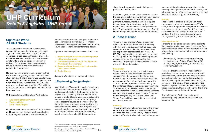### **Signature Work: All UHP Students**

Year 4 curriculum centers on a culminating capstone experience the program refer to as Signature Work. A student takes the lead to complete a credit bearing thesis or project that examines a central question or issue, involves ample writing, and a public presentation of findings. This endeavor involves purposeful faculty mentorship and staff, peer and/or community engagement.

Honors students should reach out early to their major advisor regarding options in their field of study as this will inform their future path forward. Not all disciplines offer a thesis or project opportunity or follow shared requirements (e.g., GPA, prerequisites, honors designation). This will help to ensure adequate planning with your major and honors advisor.

UHP students have 3 Signature Work options:

- **• Engineering Design Project**
- **• Thesis in Major**
- **• UHP Thesis/Project**

Most honors students complete a Thesis in Major and Engineers the Engineering Design Project for their Signature Work. If these two options

> students permission to enroll in *Designated Courses* <sup>4</sup> If in College of Biological Sciences, an advisor in the Dean's Office/

are unavailable or do not meet your educational goals, participants may pursue UHP Thesis/ Project—make an appointment with the Third-and Fourth-Year (Honors) Advisor for more details.

Signature Work completion involves 4 activities:

- **1. Signature Work enrollment and completion with a passing grade**
- **2. Conference presentation of the Signature Work (even if preliminary)**
- **3. Signature Work thesis/project uploaded to UHP Canvas Portal**
- **4. Senior Survey**

Signature Work types in more detail below.

#### *I. Engineering Design Project*

Many College of Engineering students and some Letters and Science Computer Science undergraduates participate in the Engineering Design Project as a culminating Signature Work. Small groups of student teams work on projects during the two-quarter (Fall/Winter or Winter/Spring) senior capstone course, as they collaborate on the project, attend lectures, meet weekly with a faculty member to discuss their progress, and access laboratory, computer, design studio, and/ or prototype facilities. This opportunity brings together teams from all eight departments to

### <span id="page-12-0"></span>**UHP Curriculum** *Details & Logistics | UHP Year 4*

Biological Academic Success Center (BASC).



share their design projects with their peers, professors and the public.

Students eligible for this pathway should discuss the design project courses with their major advisor early in their academic career for academic planning purposes. attend the event in Spring to learn more about the design projects and expectations and outcomes. Senior participants in the Engineering Design Showcase, satisfy their conference presentation requirement for honors.



#### *II. Thesis in Major*

Thesis in Major, Signature Work is a common option. Students should discuss this pathway with their major advisor early in their academic career for academic planning purposes. They can explain any prerequisites, qualifiers (e.g., UC GPA), and deadlines pertaining to an honors thesis. Signature Work is generally independent research/projects that occur outside the classroom, requiring time to build networks and make an informed decision.

#### **Preparation**

#### **Advising**

Thesis enrollment is often managed by the major advisor. In some cases, a student will need to convene with either their Faculty Thesis Advisor or Master Faculty Advisor in the major for approval

and course(s) registration. Many majors require two sequential quarters, others three quarter, and a few, one quarter of thesis coursework, preceded by a prerequisites (e.g., 193 or 199 credit).

#### **Grading**

Thesis in Major good practice is to follow the expectations of the department and faculty sponsor. If the department or faculty sponsor does not require a formal research proposal, the development of a draft outline helps to provide a clear purpose or problem statement to guide the student and faculty sponsored conversations. This manuscript tool is also useful in setting expectations for the thesis for both parties. Students are welcome to seek support from the Third- and Fourth-Year (Honors) Advisor and utilize UHP Thesis Proposal Form as a guide to create their own thesis proposal. To ensure that this will meet Thesis in Major guidelines, it is important to seek departmental consent (faculty advisor) and to explain how the research question and methodology relate to the student's department major. Once approved, reach out to the major advisor to complete the required paperwork and to receive course registration information. Be sure to keep the Third- and Fourth-Year (Honors) Advisor informed. Due to Signature Work complexity, seek advice frequently to better understand major requirements.

Thesis in Major grading is not uniform. Most courses are graded on a pass/no pass (P/NP) scale, others are graded each quarter, while some sequential classes (e.g., xxx 194HA first quarter, xxx 194HB second quarter) receive deferred grading—the first in the series receiving an in-progress (IP) grade until completed in full.

#### **Interdepartmental**

For some biological or natural science students, they may be serving as a research assistant for a faculty member outside of their department major, whose study is connected to the undergraduate's field of study.

*Examples: (A) Genetics major participating in research in an Animal Biology lab or (B) Ecology major participating in research in a Plant Pathology lab.* 

<sup>&</sup>lt;sup>3</sup> Few classes exceed this ratio (e.g., Calculus, Biology) or grant non-honors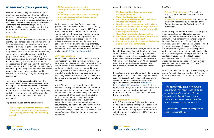#### *III. UHP Project/Thesis (HNR 195)*

UHP Project/Thesis, Signature Work option is often pursued by students whom do not have either a Thesis in Major or Engineering Design Project option or wish to pursue culminating work in a minor, creative activity, public focused (e.g., workshops and presentations) venture, etc. A UHP Project/Thesis may also be completed with other honors students with defined individual expectations.

#### **UHP Project Emphasis**

UHP projects require significant time and effort to identify and address a specific community need. This path is meant to support honors students wishing to develop, organize, complete and assess an independent or team based project as a significant service contribution to the campus, surrounding community, state, or world. The project can also be a creative work (e.g., new music composition, play, work of art) contributing to critical thinking, inspiration, and sense of connectedness on campus and in the community. While creative work is by definition novel, projects can build upon existing work done by local service organizations, but should clearly extend the scope of outreach, (e.g., program development, assessment).

Team projects do not partition the work that an individual would ordinarily complete, rather accomplish intertwined goals that are distinct, contributing to a deeper end product. Team members with complementary knowledge, skills, and abilities are desirable to fulfilling specific outcomes that an individual alone would not accomplish.

Typical distribution of time commitment:

- **• 20% Background research (literature, interviews, other sources) and planning phase**
- **• 70% Initiating, conducting, and evaluating project**
- **• 5% Presentation of project at the Undergraduate Research Conference or other venue**
- **• 5% Writing a short "white paper" describing project, its assessment, and recommendations for the future**

Students who engage in a Project must have guidance and supervision from a UC Davis faculty member with whom they complete UHP Project Proposal Form. The said document requires the student to inform the proposal readers—program staff or faculty—of the project's purpose, the population (individuals or groups) for whom the activity is being developed and delivered, the goals, how it will be designed and implemented, and for specific action items (goals) with due dates over two quarters. UHP Project Proposal Form is available on [UHP Signature Work website](https://honors.ucdavis.edu/year-4-signature-work).

#### **UHP Thesis Emphasis**

Akin to Thesis in Major, a UHP Thesis is a significant research study the student undertakes with the support and direction of a faculty member. The student selects a faculty member of their choice for the thesis. Students are encouraged to select a faculty member who has knowledge in the area of study the student plans to engage in, while also being available and accessible to the student during the two quarters the student is completing the thesis.

A UHP Thesis is based on students' original research. This Signature Work takes the form of a written manuscript that presents study findings. In the humanities and social sciences, a document may average 20-50 pages in length consisting of two or more chapters; it may be shorter, depending on the qualitative or quantitative nature of the research. In the natural sciences, a document may be shorter, often taking the form of a detailed laboratory report in the form of a publishable manuscript. The selected UC Davis faculty mentor/sponsor will define the thesis document parameters.

Advisor.<br>
"The fourth-year proje<br>
opportunity. I'm really<br>
my ability to do a thes<br>
fessors who know I'm<br>
student, and to be ab<br>
honors thesis on my t<br>
- Sydney Woods, honors<br>
a major in Animal Science *"The fourth-year project is a huge opportunity. I'm really excited about my ability to do a thesis with professors who know I'm an honors student, and to be able to call it an honors thesis on my transcript."*



#### A completed UHP thesis should:

To develop ideas for one's thesis, students should have topics of study in mind, literature to consult, and have access to the necessary materials/ information. To aid in the construction of a clear thesis idea, create responses to this statement: "The purpose of this study is …" When a student is confident they will be able to investigate the purpose statement, one then has a thesis question.

- **• Produce new knowledge or build upon existing foundations**
- **• Satisfy intellectual curiosity**
- **• Encourage reflection on one's positionality**
- **• Develop transferable skills**
- **• Develop project management skills to keep within clear timelines and manage resources**
- **• Provide the opportunity to work closely with faculty sponsor/mentor**
- **• Open future professional opportunities**
- **• Provide an opportunity for early feedback to produce a refined end product**
- **• Provide the opportunity to present finding in a public forum (e.g., conference)** their specified terms (e.g., Winter/Spring). Each course is 3-units and letter graded. Enrollees need to update the units to 3-units as it defaults to 1

If the student is planning to conduct interviews, do surveys, or other research involving human-subjects, the student must consult with their faculty sponsor to discuss the process of obtaining approval from the university's [Institutional](https://research.ucdavis.edu/policiescompliance/irb-admin/)  [Research Board in regards to Human Subjects](https://research.ucdavis.edu/policiescompliance/irb-admin/) if needed. Likewise, formal approvals for vertebrate animal use and chemical safety training, if required, will be necessary in consultation with the faculty mentor.

#### **UHP Signature Work Details**

A UHP Signature Work Guidebook has been developed for honors participants to assist them through the process. Honors students pursuing the project/thesis in the program are required to submit a proposal available on UHP's Signature Work website.

#### *Deadlines:*

- **Fall and Winter Sequence:** Proposal form is due by the 10th day of instruction of Fall **Quarter**
- **Winter and Spring Sequence:** Proposals forms are due in December, by the last day of Fall Quarter instruction—the Friday before final exam week
- When the Signature Work Project/Thesis proposal is approved, students will receive a course registration number and enroll in HNR 195 for a minimum of two consecutive quarters based on
- in the registration system. The faculty sponsor grades the course at the end of each quarter; it is not a cumulative grade. It is important the student has clear direction from their faculty sponsor on what is due by the end of each quarter to be awarded an appropriate grade. A student must have and maintain at least the UC GPA of 3.25 to qualify for this course.
- Students are welcome to begin preliminary project work before actual course enrollment. For more detail, reach out to the Third- and Fourth-Year Advisor.

**- Sydney Woods, honors student pursuing a major in Animal Science**